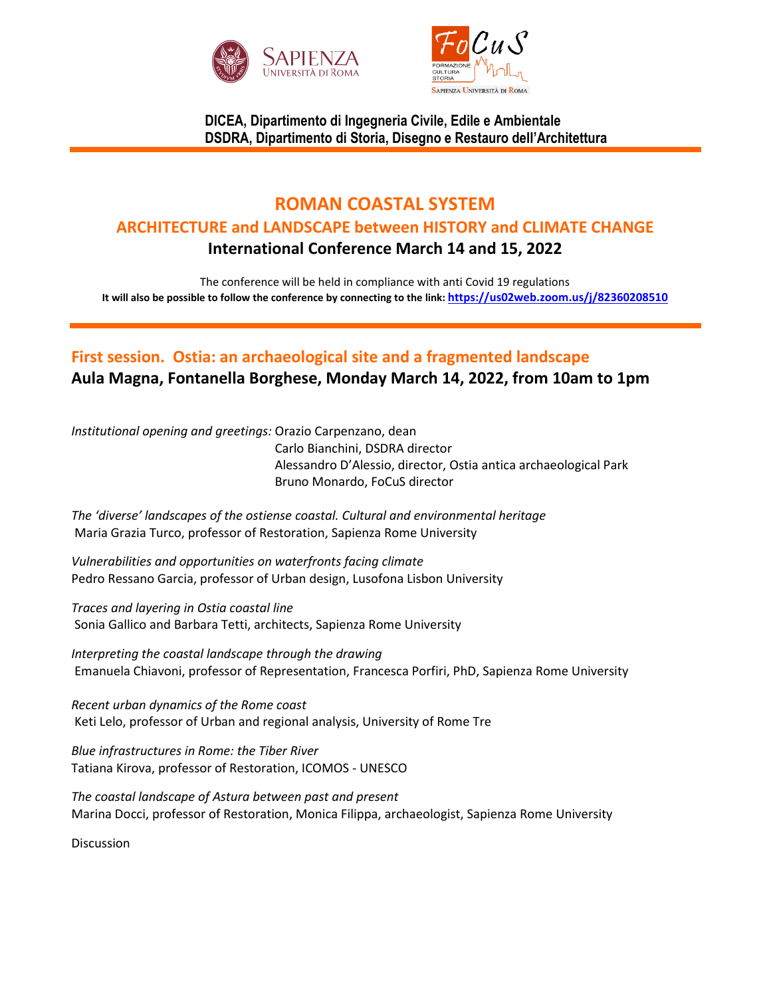



**DICEA, Dipartimento di Ingegneria Civile, Edile e Ambientale DSDRA, Dipartimento di Storia, Disegno e Restauro dell'Architettura**

## **ROMAN COASTAL SYSTEM ARCHITECTURE and LANDSCAPE between HISTORY and CLIMATE CHANGE International Conference March 14 and 15, 2022**

The conference will be held in compliance with anti Covid 19 regulations **It will also be possible to follow the conference by connecting to the link: <https://us02web.zoom.us/j/82360208510>**

# **First session. Ostia: an archaeological site and a fragmented landscape Aula Magna, Fontanella Borghese, Monday March 14, 2022, from 10am to 1pm**

*Institutional opening and greetings:* Orazio Carpenzano, dean Carlo Bianchini, DSDRA director Alessandro D'Alessio, director, Ostia antica archaeological Park Bruno Monardo, FoCuS director

*The 'diverse' landscapes of the ostiense coastal. Cultural and environmental heritage* Maria Grazia Turco, professor of Restoration, Sapienza Rome University

*Vulnerabilities and opportunities on waterfronts facing climate* Pedro Ressano Garcia, professor of Urban design, Lusofona Lisbon University

*Traces and layering in Ostia coastal line* Sonia Gallico and Barbara Tetti, architects, Sapienza Rome University

*Interpreting the coastal landscape through the drawing* Emanuela Chiavoni, professor of Representation, Francesca Porfiri, PhD, Sapienza Rome University

*Recent urban dynamics of the Rome coast* Keti Lelo, professor of Urban and regional analysis, University of Rome Tre

*Blue infrastructures in Rome: the Tiber River* Tatiana Kirova, professor of Restoration, ICOMOS - UNESCO

*The coastal landscape of Astura between past and present* Marina Docci, professor of Restoration, Monica Filippa, archaeologist, Sapienza Rome University

**Discussion**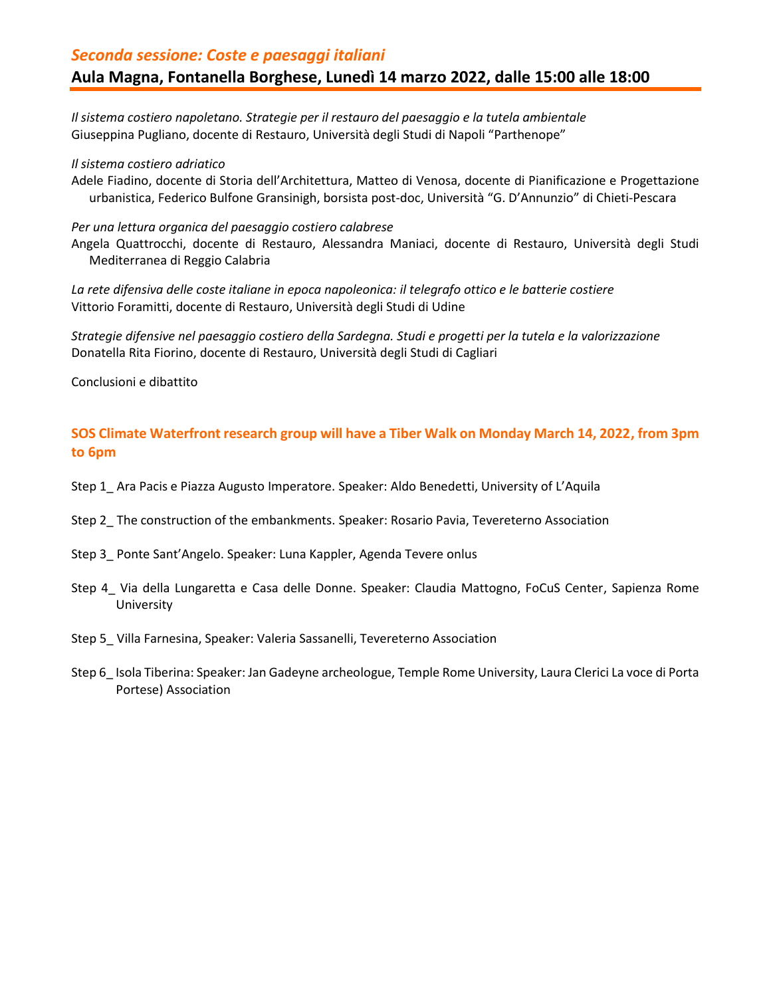### *Seconda sessione: Coste e paesaggi italiani* **Aula Magna, Fontanella Borghese, Lunedì 14 marzo 2022, dalle 15:00 alle 18:00**

*Il sistema costiero napoletano. Strategie per il restauro del paesaggio e la tutela ambientale* Giuseppina Pugliano, docente di Restauro, Università degli Studi di Napoli "Parthenope"

*Il sistema costiero adriatico*

Adele Fiadino, docente di Storia dell'Architettura, Matteo di Venosa, docente di Pianificazione e Progettazione urbanistica, Federico Bulfone Gransinigh, borsista post-doc, Università "G. D'Annunzio" di Chieti-Pescara

*Per una lettura organica del paesaggio costiero calabrese*

Angela Quattrocchi, docente di Restauro, Alessandra Maniaci, docente di Restauro, Università degli Studi Mediterranea di Reggio Calabria

*La rete difensiva delle coste italiane in epoca napoleonica: il telegrafo ottico e le batterie costiere* Vittorio Foramitti, docente di Restauro, Università degli Studi di Udine

*Strategie difensive nel paesaggio costiero della Sardegna. Studi e progetti per la tutela e la valorizzazione* Donatella Rita Fiorino, docente di Restauro, Università degli Studi di Cagliari

Conclusioni e dibattito

#### **SOS Climate Waterfront research group will have a Tiber Walk on Monday March 14, 2022, from 3pm to 6pm**

- Step 1\_ Ara Pacis e Piazza Augusto Imperatore. Speaker: Aldo Benedetti, University of L'Aquila
- Step 2\_ The construction of the embankments. Speaker: Rosario Pavia, Tevereterno Association
- Step 3\_ Ponte Sant'Angelo. Speaker: Luna Kappler, Agenda Tevere onlus
- Step 4\_ Via della Lungaretta e Casa delle Donne. Speaker: Claudia Mattogno, FoCuS Center, Sapienza Rome University
- Step 5\_ Villa Farnesina, Speaker: Valeria Sassanelli, Tevereterno Association
- Step 6\_ Isola Tiberina: Speaker: Jan Gadeyne archeologue, Temple Rome University, Laura Clerici La voce di Porta Portese) Association